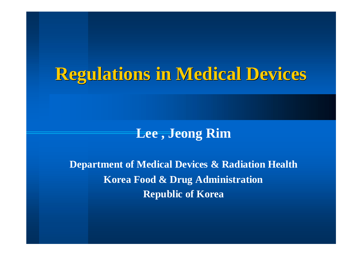### **Regulations in Medical Devices Regulations in Medical Devices**

#### **Lee , Jeong Rim**

**Department of Medical Devices & Radiation Health Korea Food & Drug Administration Republic of Korea**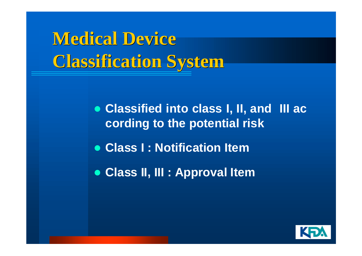

 **Classified into class I, II, and III ac cording to the potential risk Class I : Notification ItemClass II, III : Approval Item**

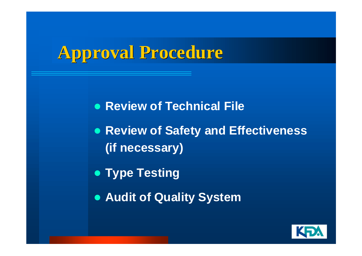# **Approval Procedure Approval Procedure**

**• Review of Technical File** 

 **Review of Safety and Effectiveness (if necessary)**

**• Type Testing** 

**Audit of Quality System**

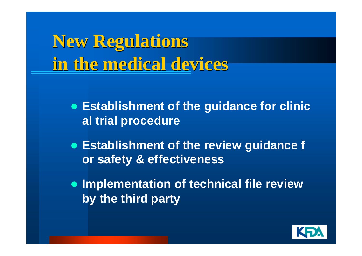**New Regulations New Regulations in the medical devices in the medical devices**

- **Establishment of the guidance for clinic al trial procedure**
- **Establishment of the review guidance f or safety & effectiveness**
- **Implementation of technical file review by the third party**

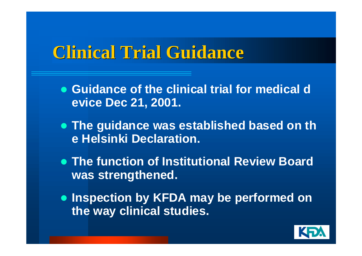#### **Clinical Trial Guidance Clinical Trial Guidance**

- **Guidance of the clinical trial for medical d evice Dec 21, 2001.**
- **The guidance was established based on th e Helsinki Declaration.**
- **The function of Institutional Review Board was strengthened.**
- **Inspection by KFDA may be performed on the way clinical studies.**

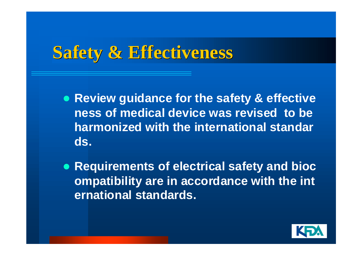## **Safety & Effectiveness Safety & Effectiveness**

- **Review guidance for the safety & effective ness of medical device was revised to be harmonized with the international standards.**
- **Requirements of electrical safety and bioc ompatibility are in accordance with the int ernational standards.**

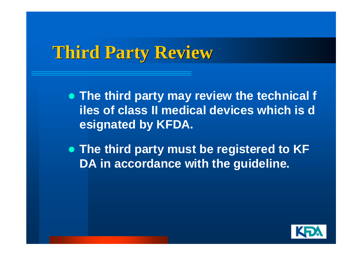## **Third Party Review Third Party Review**

 **The third party may review the technical f iles of class II medical devices which is designated by KFDA.**

 **The third party must be registered to KF DA in accordance with the guideline.**